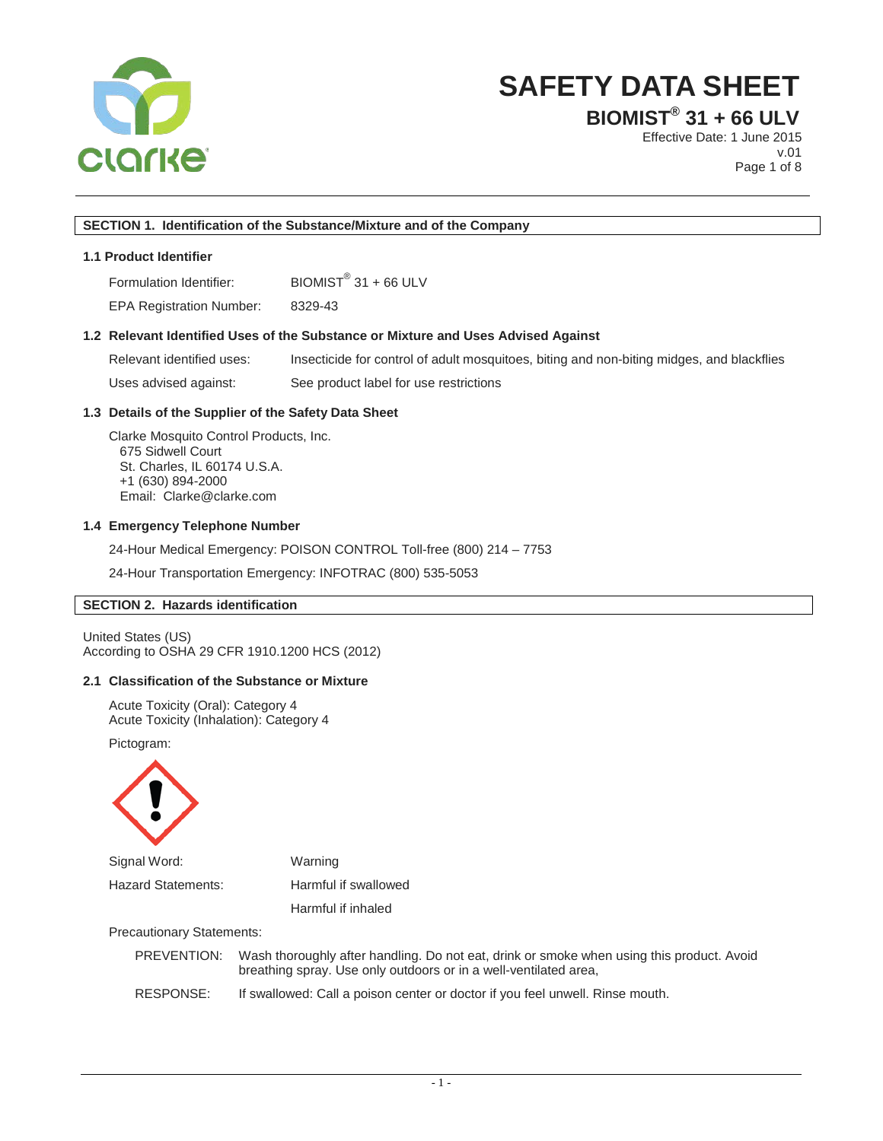

**BIOMIST® 31 + 66 ULV**

Effective Date: 1 June 2015 v.01 Page 1 of 8

## **SECTION 1. Identification of the Substance/Mixture and of the Company**

## **1.1 Product Identifier**

Formulation Identifier: BIOMIST<sup>®</sup> 31 + 66 ULV

EPA Registration Number: 8329-43

#### **1.2 Relevant Identified Uses of the Substance or Mixture and Uses Advised Against**

Relevant identified uses: Insecticide for control of adult mosquitoes, biting and non-biting midges, and blackflies Uses advised against: See product label for use restrictions

## **1.3 Details of the Supplier of the Safety Data Sheet**

Clarke Mosquito Control Products, Inc. 675 Sidwell Court St. Charles, IL 60174 U.S.A. +1 (630) 894-2000 Email: Clarke@clarke.com

#### **1.4 Emergency Telephone Number**

24-Hour Medical Emergency: POISON CONTROL Toll-free (800) 214 – 7753

24-Hour Transportation Emergency: INFOTRAC (800) 535-5053

## **SECTION 2. Hazards identification**

United States (US) According to OSHA 29 CFR 1910.1200 HCS (2012)

## **2.1 Classification of the Substance or Mixture**

Acute Toxicity (Oral): Category 4 Acute Toxicity (Inhalation): Category 4

Pictogram:



| Signal Word:                     | Warning                       |
|----------------------------------|-------------------------------|
| Hazard Statements:               | Harmful if swallowed          |
|                                  | Harmful if inhaled            |
| <b>Precautionary Statements:</b> |                               |
| DDEVENTIONI.                     | Waah thoroughly ofter hondlin |

|           | PREVENTION: Wash thoroughly after handling. Do not eat, drink or smoke when using this product. Avoid<br>breathing spray. Use only outdoors or in a well-ventilated area, |
|-----------|---------------------------------------------------------------------------------------------------------------------------------------------------------------------------|
| RESPONSE: | If swallowed: Call a poison center or doctor if you feel unwell. Rinse mouth.                                                                                             |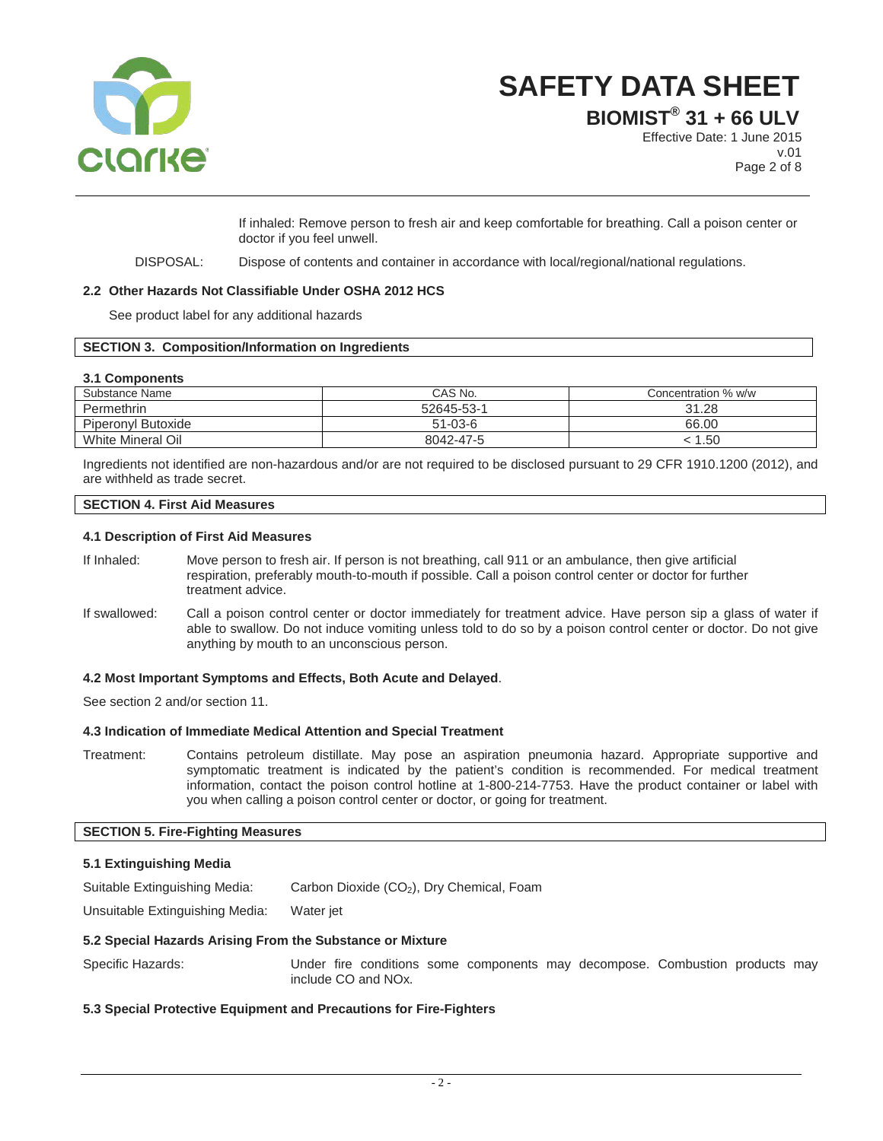

**BIOMIST® 31 + 66 ULV**

Effective Date: 1 June 2015 v.01 Page 2 of 8

If inhaled: Remove person to fresh air and keep comfortable for breathing. Call a poison center or doctor if you feel unwell.

DISPOSAL: Dispose of contents and container in accordance with local/regional/national regulations.

## **2.2 Other Hazards Not Classifiable Under OSHA 2012 HCS**

See product label for any additional hazards

## **SECTION 3. Composition/Information on Ingredients**

#### **3.1 Components**

| Substance Name     | CAS No.       | Concentration % w/w |
|--------------------|---------------|---------------------|
| Permethrin         | 52645-53-1    | 31.28               |
| Piperonyl Butoxide | $51 - 03 - 6$ | 66.00               |
| White Mineral Oil  | 8042-47-5     | 50.،                |

Ingredients not identified are non-hazardous and/or are not required to be disclosed pursuant to 29 CFR 1910.1200 (2012), and are withheld as trade secret.

## **SECTION 4. First Aid Measures**

#### **4.1 Description of First Aid Measures**

- If Inhaled: Move person to fresh air. If person is not breathing, call 911 or an ambulance, then give artificial respiration, preferably mouth-to-mouth if possible. Call a poison control center or doctor for further treatment advice.
- If swallowed: Call a poison control center or doctor immediately for treatment advice. Have person sip a glass of water if able to swallow. Do not induce vomiting unless told to do so by a poison control center or doctor. Do not give anything by mouth to an unconscious person.

## **4.2 Most Important Symptoms and Effects, Both Acute and Delayed**.

See section 2 and/or section 11.

#### **4.3 Indication of Immediate Medical Attention and Special Treatment**

Treatment: Contains petroleum distillate. May pose an aspiration pneumonia hazard. Appropriate supportive and symptomatic treatment is indicated by the patient's condition is recommended. For medical treatment information, contact the poison control hotline at 1-800-214-7753. Have the product container or label with you when calling a poison control center or doctor, or going for treatment.

## **SECTION 5. Fire-Fighting Measures**

## **5.1 Extinguishing Media**

Suitable Extinguishing Media: Carbon Dioxide (CO<sub>2</sub>), Dry Chemical, Foam

Unsuitable Extinguishing Media: Water jet

#### **5.2 Special Hazards Arising From the Substance or Mixture**

Specific Hazards: Under fire conditions some components may decompose. Combustion products may include CO and NOx.

## **5.3 Special Protective Equipment and Precautions for Fire-Fighters**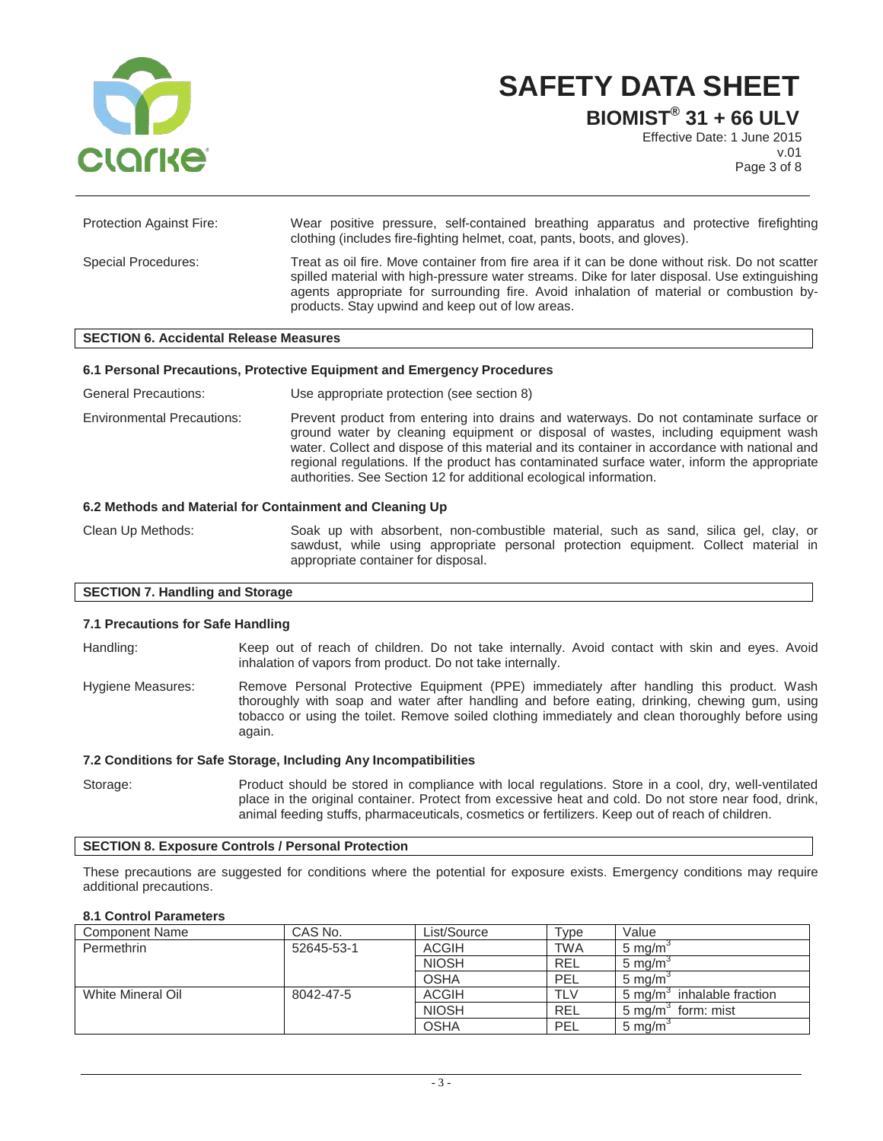

**BIOMIST® 31 + 66 ULV**

Effective Date: 1 June 2015 v.01 Page 3 of 8

| <b>Protection Against Fire:</b> | Wear positive pressure, self-contained breathing apparatus and protective firefighting<br>clothing (includes fire-fighting helmet, coat, pants, boots, and gloves).                                                                                                                                                                             |
|---------------------------------|-------------------------------------------------------------------------------------------------------------------------------------------------------------------------------------------------------------------------------------------------------------------------------------------------------------------------------------------------|
| Special Procedures:             | Treat as oil fire. Move container from fire area if it can be done without risk. Do not scatter<br>spilled material with high-pressure water streams. Dike for later disposal. Use extinguishing<br>agents appropriate for surrounding fire. Avoid inhalation of material or combustion by-<br>products. Stay upwind and keep out of low areas. |

#### **SECTION 6. Accidental Release Measures**

#### **6.1 Personal Precautions, Protective Equipment and Emergency Procedures**

General Precautions: Use appropriate protection (see section 8)

Environmental Precautions: Prevent product from entering into drains and waterways. Do not contaminate surface or ground water by cleaning equipment or disposal of wastes, including equipment wash water. Collect and dispose of this material and its container in accordance with national and regional regulations. If the product has contaminated surface water, inform the appropriate authorities. See Section 12 for additional ecological information.

#### **6.2 Methods and Material for Containment and Cleaning Up**

Clean Up Methods: Soak up with absorbent, non-combustible material, such as sand, silica gel, clay, or sawdust, while using appropriate personal protection equipment. Collect material in appropriate container for disposal.

## **SECTION 7. Handling and Storage**

#### **7.1 Precautions for Safe Handling**

Handling: Keep out of reach of children. Do not take internally. Avoid contact with skin and eyes. Avoid inhalation of vapors from product. Do not take internally.

Hygiene Measures: Remove Personal Protective Equipment (PPE) immediately after handling this product. Wash thoroughly with soap and water after handling and before eating, drinking, chewing gum, using tobacco or using the toilet. Remove soiled clothing immediately and clean thoroughly before using again.

#### **7.2 Conditions for Safe Storage, Including Any Incompatibilities**

Storage: Product should be stored in compliance with local regulations. Store in a cool, dry, well-ventilated place in the original container. Protect from excessive heat and cold. Do not store near food, drink, animal feeding stuffs, pharmaceuticals, cosmetics or fertilizers. Keep out of reach of children.

#### **SECTION 8. Exposure Controls / Personal Protection**

These precautions are suggested for conditions where the potential for exposure exists. Emergency conditions may require additional precautions.

#### **8.1 Control Parameters**

| <b>Component Name</b> | CAS No.    | List/Source  | Type       | Value                                  |
|-----------------------|------------|--------------|------------|----------------------------------------|
| Permethrin            | 52645-53-1 | <b>ACGIH</b> | <b>TWA</b> | $5 \text{ mg/m}$                       |
|                       |            | <b>NIOSH</b> | <b>REL</b> | $5 \text{ ma/m}$                       |
|                       |            | <b>OSHA</b>  | PEL        | $5 \text{ ma/m}$                       |
| White Mineral Oil     | 8042-47-5  | ACGIH        | TLV        | inhalable fraction<br>$5 \text{ ma/m}$ |
|                       |            | <b>NIOSH</b> | <b>REL</b> | form: mist<br>$5 \text{ ma/m}^3$       |
|                       |            | <b>OSHA</b>  | PEL        | $5 \text{ ma/m}$                       |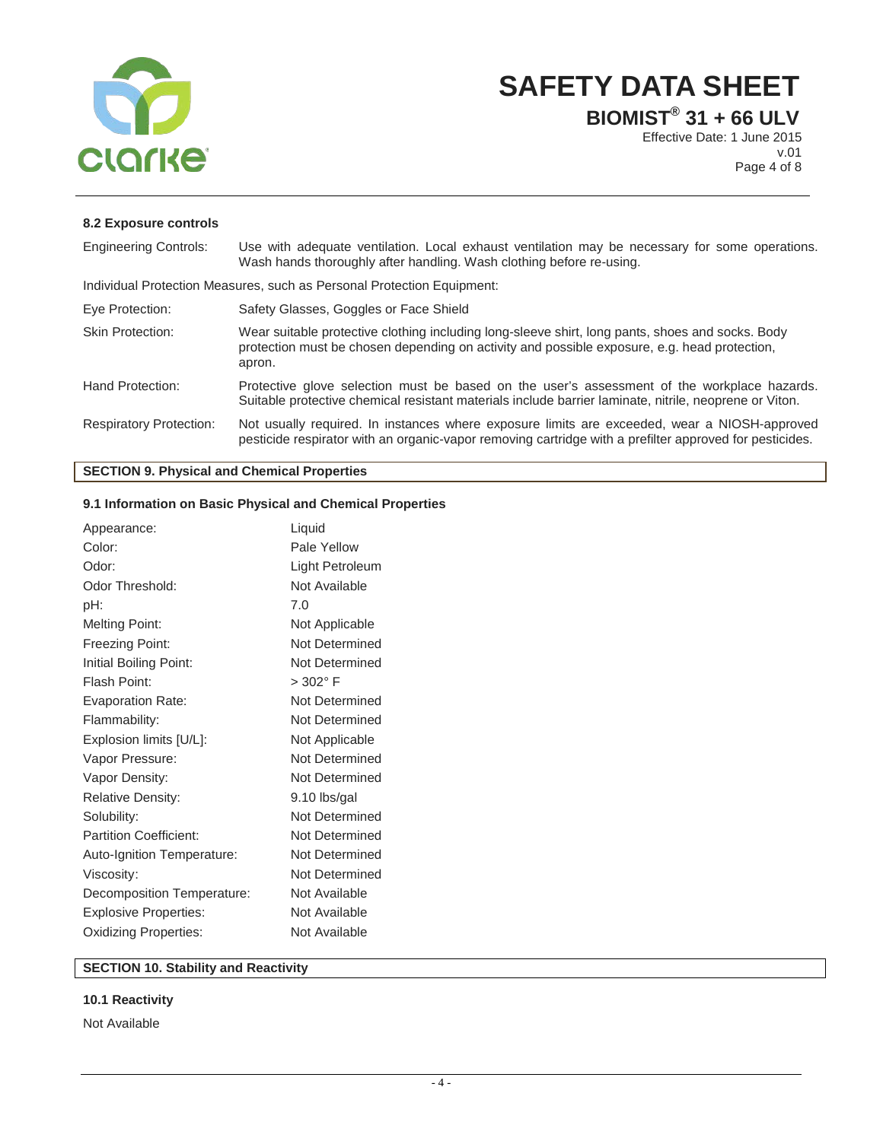

**BIOMIST® 31 + 66 ULV**

Effective Date: 1 June 2015 v.01 Page 4 of 8

## **8.2 Exposure controls**

| <b>Engineering Controls:</b>   | Use with adequate ventilation. Local exhaust ventilation may be necessary for some operations.<br>Wash hands thoroughly after handling. Wash clothing before re-using.                                     |
|--------------------------------|------------------------------------------------------------------------------------------------------------------------------------------------------------------------------------------------------------|
|                                | Individual Protection Measures, such as Personal Protection Equipment:                                                                                                                                     |
| Eye Protection:                | Safety Glasses, Goggles or Face Shield                                                                                                                                                                     |
| <b>Skin Protection:</b>        | Wear suitable protective clothing including long-sleeve shirt, long pants, shoes and socks. Body<br>protection must be chosen depending on activity and possible exposure, e.g. head protection,<br>apron. |
| Hand Protection:               | Protective glove selection must be based on the user's assessment of the workplace hazards.<br>Suitable protective chemical resistant materials include barrier laminate, nitrile, neoprene or Viton.      |
| <b>Respiratory Protection:</b> | Not usually required. In instances where exposure limits are exceeded, wear a NIOSH-approved<br>pesticide respirator with an organic-vapor removing cartridge with a prefilter approved for pesticides.    |

## **SECTION 9. Physical and Chemical Properties**

## **9.1 Information on Basic Physical and Chemical Properties**

| Appearance:                   | Liquid          |
|-------------------------------|-----------------|
| Color:                        | Pale Yellow     |
| Odor:                         | Light Petroleum |
| Odor Threshold:               | Not Available   |
| pH:                           | 7.0             |
| <b>Melting Point:</b>         | Not Applicable  |
| Freezing Point:               | Not Determined  |
| Initial Boiling Point:        | Not Determined  |
| Flash Point:                  | $> 302$ °F      |
| <b>Evaporation Rate:</b>      | Not Determined  |
| Flammability:                 | Not Determined  |
| Explosion limits [U/L]:       | Not Applicable  |
| Vapor Pressure:               | Not Determined  |
| Vapor Density:                | Not Determined  |
| Relative Density:             | 9.10 lbs/gal    |
| Solubility:                   | Not Determined  |
| <b>Partition Coefficient:</b> | Not Determined  |
| Auto-Ignition Temperature:    | Not Determined  |
| Viscosity:                    | Not Determined  |
| Decomposition Temperature:    | Not Available   |
| <b>Explosive Properties:</b>  | Not Available   |
| Oxidizing Properties:         | Not Available   |

## **SECTION 10. Stability and Reactivity**

## **10.1 Reactivity**

Not Available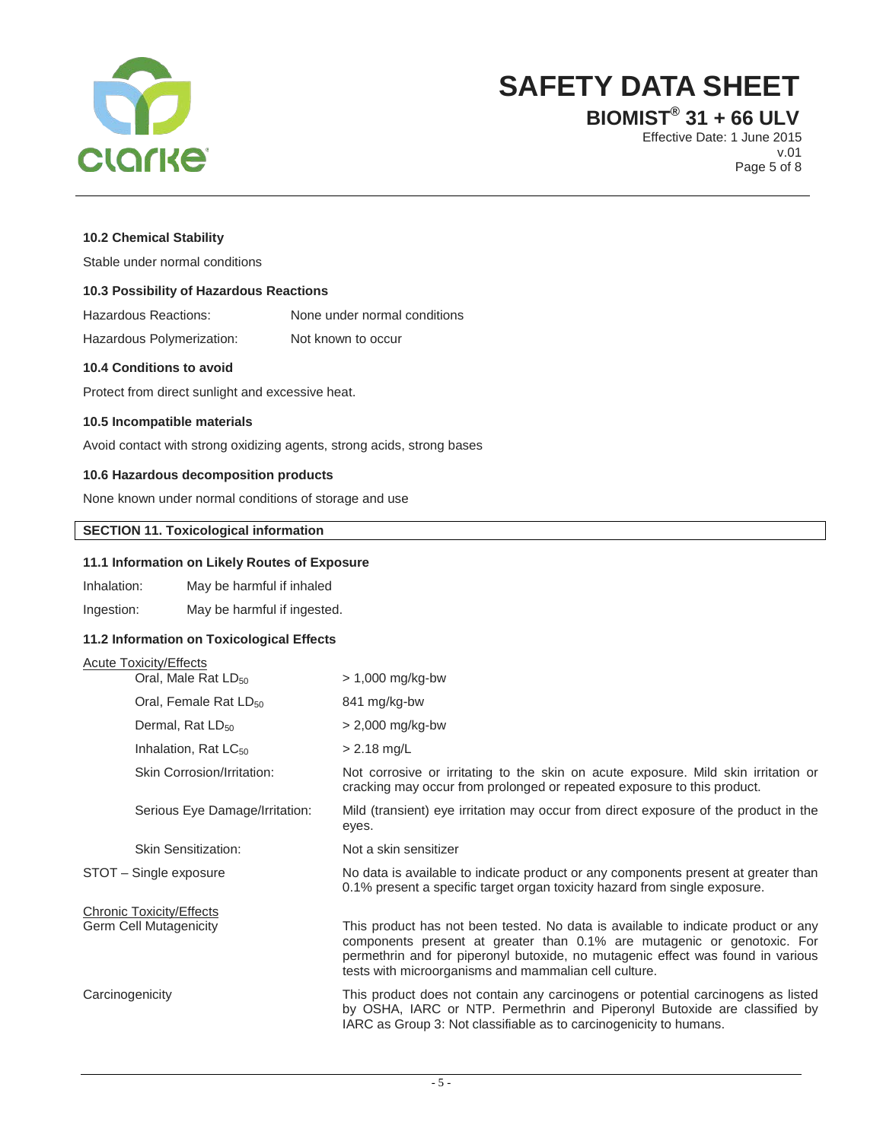

**BIOMIST® 31 + 66 ULV**

Effective Date: 1 June 2015 v.01 Page 5 of 8

## **10.2 Chemical Stability**

Stable under normal conditions

## **10.3 Possibility of Hazardous Reactions**

| Hazardous Reactions: |  |  |  | None under normal conditions |  |  |  |  |  |  |
|----------------------|--|--|--|------------------------------|--|--|--|--|--|--|
|                      |  |  |  |                              |  |  |  |  |  |  |

Hazardous Polymerization: Not known to occur

#### **10.4 Conditions to avoid**

Protect from direct sunlight and excessive heat.

## **10.5 Incompatible materials**

Avoid contact with strong oxidizing agents, strong acids, strong bases

## **10.6 Hazardous decomposition products**

None known under normal conditions of storage and use

## **SECTION 11. Toxicological information**

## **11.1 Information on Likely Routes of Exposure**

Inhalation: May be harmful if inhaled

Ingestion: May be harmful if ingested.

## **11.2 Information on Toxicological Effects**

## Acute Toxicity/Effects

| Oral, Male Rat LD <sub>50</sub>   | $> 1,000$ mg/kg-bw                                                                                                                                                                                                                                                                                       |
|-----------------------------------|----------------------------------------------------------------------------------------------------------------------------------------------------------------------------------------------------------------------------------------------------------------------------------------------------------|
| Oral, Female Rat LD <sub>50</sub> | 841 mg/kg-bw                                                                                                                                                                                                                                                                                             |
| Dermal, Rat LD <sub>50</sub>      | $> 2,000$ mg/kg-bw                                                                                                                                                                                                                                                                                       |
| Inhalation, Rat LC <sub>50</sub>  | $> 2.18$ mg/L                                                                                                                                                                                                                                                                                            |
| <b>Skin Corrosion/Irritation:</b> | Not corrosive or irritating to the skin on acute exposure. Mild skin irritation or<br>cracking may occur from prolonged or repeated exposure to this product.                                                                                                                                            |
| Serious Eye Damage/Irritation:    | Mild (transient) eye irritation may occur from direct exposure of the product in the<br>eyes.                                                                                                                                                                                                            |
| <b>Skin Sensitization:</b>        | Not a skin sensitizer                                                                                                                                                                                                                                                                                    |
| STOT - Single exposure            | No data is available to indicate product or any components present at greater than<br>0.1% present a specific target organ toxicity hazard from single exposure.                                                                                                                                         |
| Chronic Toxicity/Effects          |                                                                                                                                                                                                                                                                                                          |
| Germ Cell Mutagenicity            | This product has not been tested. No data is available to indicate product or any<br>components present at greater than 0.1% are mutagenic or genotoxic. For<br>permethrin and for piperonyl butoxide, no mutagenic effect was found in various<br>tests with microorganisms and mammalian cell culture. |
| Carcinogenicity                   | This product does not contain any carcinogens or potential carcinogens as listed<br>by OSHA, IARC or NTP. Permethrin and Piperonyl Butoxide are classified by<br>IARC as Group 3: Not classifiable as to carcinogenicity to humans.                                                                      |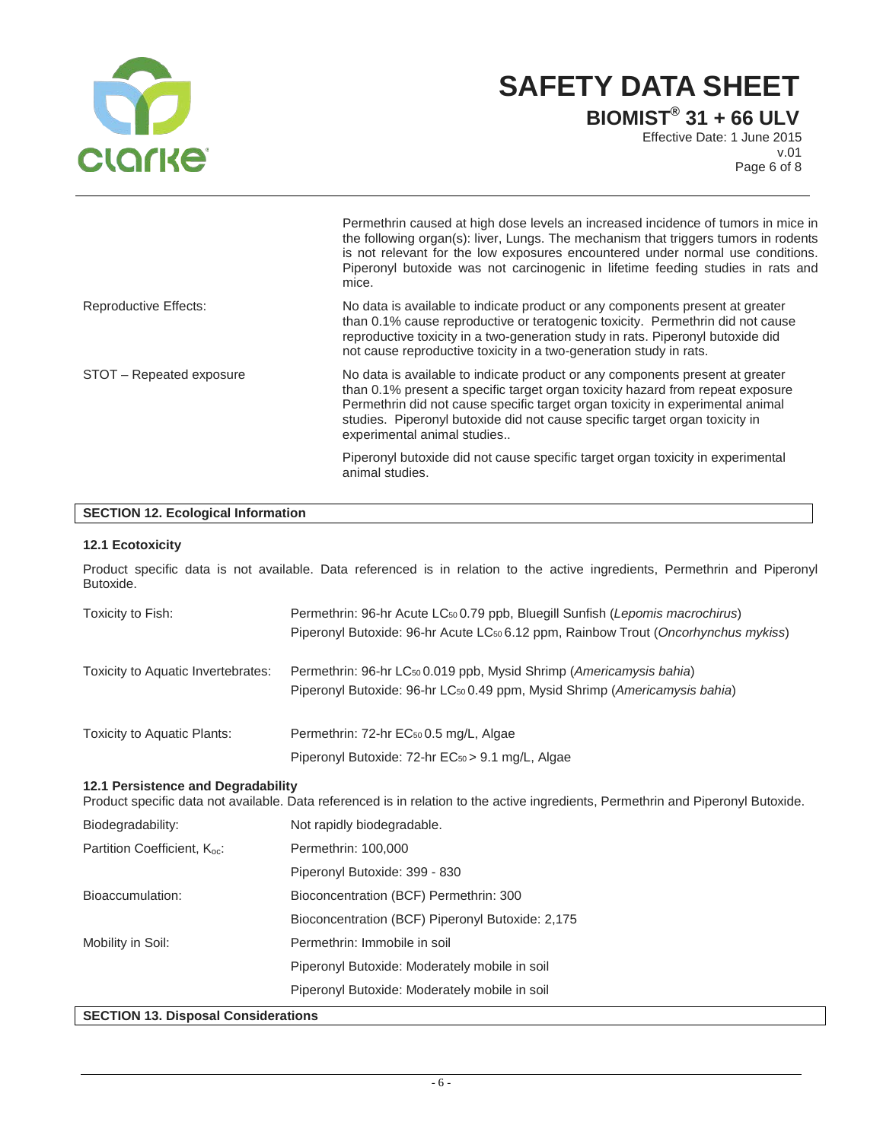

Permethrin caused at high dose levels an increased incidence of tumors in mice in

**BIOMIST® 31 + 66 ULV**

Effective Date: 1 June 2015 v.01 Page 6 of 8

|                              | the following organ(s): liver, Lungs. The mechanism that triggers tumors in rodents<br>is not relevant for the low exposures encountered under normal use conditions.<br>Piperonyl butoxide was not carcinogenic in lifetime feeding studies in rats and<br>mice.                                                                                               |
|------------------------------|-----------------------------------------------------------------------------------------------------------------------------------------------------------------------------------------------------------------------------------------------------------------------------------------------------------------------------------------------------------------|
| <b>Reproductive Effects:</b> | No data is available to indicate product or any components present at greater<br>than 0.1% cause reproductive or teratogenic toxicity. Permethrin did not cause<br>reproductive toxicity in a two-generation study in rats. Piperonyl butoxide did<br>not cause reproductive toxicity in a two-generation study in rats.                                        |
| STOT - Repeated exposure     | No data is available to indicate product or any components present at greater<br>than 0.1% present a specific target organ toxicity hazard from repeat exposure<br>Permethrin did not cause specific target organ toxicity in experimental animal<br>studies. Piperonyl butoxide did not cause specific target organ toxicity in<br>experimental animal studies |
|                              | Piperonyl butoxide did not cause specific target organ toxicity in experimental<br>animal studies.                                                                                                                                                                                                                                                              |

## **SECTION 12. Ecological Information**

## **12.1 Ecotoxicity**

| Butoxide.                                | Product specific data is not available. Data referenced is in relation to the active ingredients, Permethrin and Piperonyl                                                                  |
|------------------------------------------|---------------------------------------------------------------------------------------------------------------------------------------------------------------------------------------------|
| Toxicity to Fish:                        | Permethrin: 96-hr Acute LC <sub>50</sub> 0.79 ppb, Bluegill Sunfish (Lepomis macrochirus)<br>Piperonyl Butoxide: 96-hr Acute LC <sub>50</sub> 6.12 ppm, Rainbow Trout (Oncorhynchus mykiss) |
| Toxicity to Aquatic Invertebrates:       | Permethrin: 96-hr LC <sub>50</sub> 0.019 ppb, Mysid Shrimp (Americamysis bahia)<br>Piperonyl Butoxide: 96-hr LC <sub>50</sub> 0.49 ppm, Mysid Shrimp (Americamysis bahia)                   |
| Toxicity to Aquatic Plants:              | Permethrin: 72-hr EC <sub>50</sub> 0.5 mg/L, Algae<br>Piperonyl Butoxide: 72-hr EC <sub>50</sub> > 9.1 mg/L, Algae                                                                          |
| 12.1 Persistence and Degradability       | Product specific data not available. Data referenced is in relation to the active ingredients, Permethrin and Piperonyl Butoxide.                                                           |
| Biodegradability:                        | Not rapidly biodegradable.                                                                                                                                                                  |
| Partition Coefficient, K <sub>oc</sub> : | Permethrin: 100,000<br>Piperonyl Butoxide: 399 - 830                                                                                                                                        |
| Bioaccumulation:                         | Bioconcentration (BCF) Permethrin: 300                                                                                                                                                      |

Bioconcentration (BCF) Piperonyl Butoxide: 2,175

Mobility in Soil: Permethrin: Immobile in soil Piperonyl Butoxide: Moderately mobile in soil

Piperonyl Butoxide: Moderately mobile in soil

## **SECTION 13. Disposal Considerations**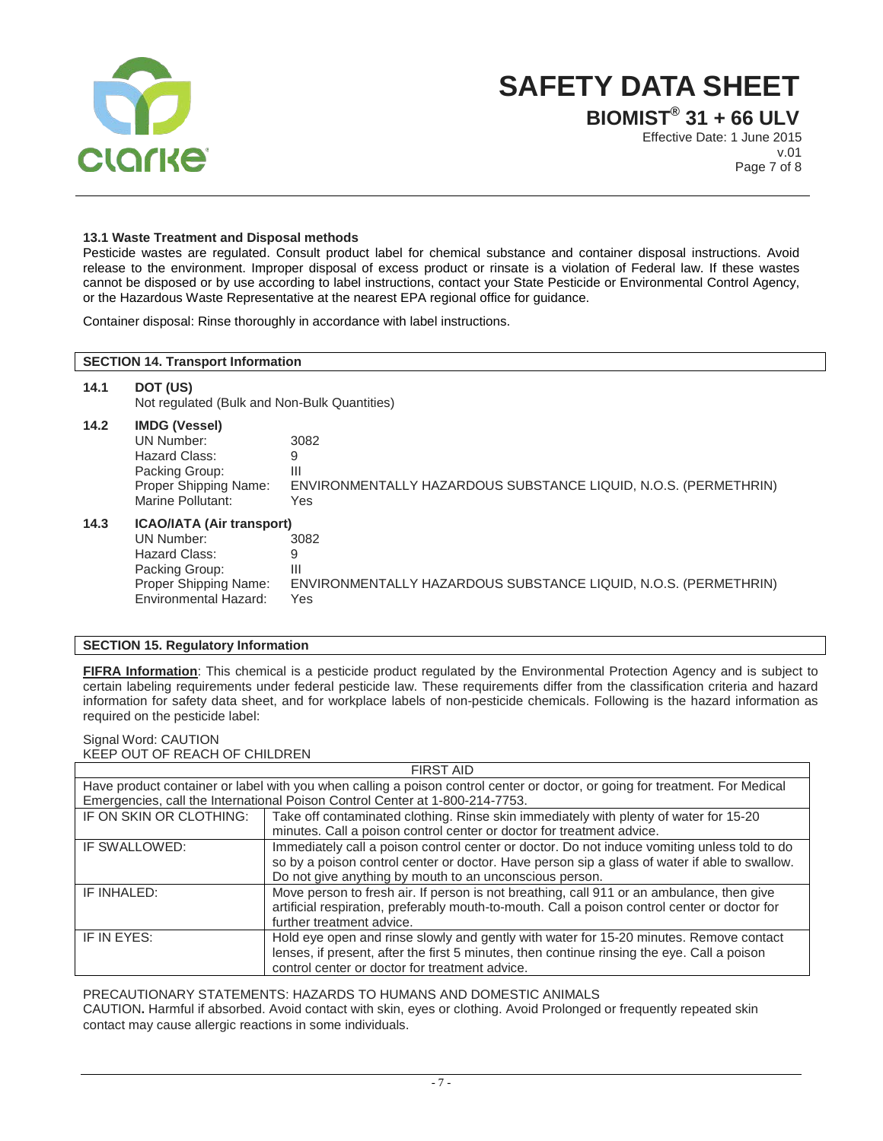

**BIOMIST® 31 + 66 ULV** Effective Date: 1 June 2015 v.01 Page 7 of 8

## **13.1 Waste Treatment and Disposal methods**

Pesticide wastes are regulated. Consult product label for chemical substance and container disposal instructions. Avoid release to the environment. Improper disposal of excess product or rinsate is a violation of Federal law. If these wastes cannot be disposed or by use according to label instructions, contact your State Pesticide or Environmental Control Agency, or the Hazardous Waste Representative at the nearest EPA regional office for guidance.

Container disposal: Rinse thoroughly in accordance with label instructions.

## **SECTION 14. Transport Information 14.1 DOT (US)** Not regulated (Bulk and Non-Bulk Quantities) **14.2 IMDG (Vessel)** UN Number: 3082 Hazard Class: 9<br>Packing Group: 11 Packing Group: Proper Shipping Name: ENVIRONMENTALLY HAZARDOUS SUBSTANCE LIQUID, N.O.S. (PERMETHRIN) Marine Pollutant: Yes **14.3 ICAO/IATA (Air transport)** UN Number: 30<br>Hazard Class: 9 Hazard Class: 9 Packing Group: III Proper Shipping Name: ENVIRONMENTALLY HAZARDOUS SUBSTANCE LIQUID, N.O.S. (PERMETHRIN) Environmental Hazard: Yes

## **SECTION 15. Regulatory Information**

**FIFRA Information**: This chemical is a pesticide product regulated by the Environmental Protection Agency and is subject to certain labeling requirements under federal pesticide law. These requirements differ from the classification criteria and hazard information for safety data sheet, and for workplace labels of non-pesticide chemicals. Following is the hazard information as required on the pesticide label:

## Signal Word: CAUTION KEEP OUT OF REACH OF CHILDREN

| <b>FIRST AID</b>        |                                                                                                                              |  |  |  |
|-------------------------|------------------------------------------------------------------------------------------------------------------------------|--|--|--|
|                         | Have product container or label with you when calling a poison control center or doctor, or going for treatment. For Medical |  |  |  |
|                         | Emergencies, call the International Poison Control Center at 1-800-214-7753.                                                 |  |  |  |
| IF ON SKIN OR CLOTHING: | Take off contaminated clothing. Rinse skin immediately with plenty of water for 15-20                                        |  |  |  |
|                         | minutes. Call a poison control center or doctor for treatment advice.                                                        |  |  |  |
| IF SWALLOWED:           | Immediately call a poison control center or doctor. Do not induce vomiting unless told to do                                 |  |  |  |
|                         | so by a poison control center or doctor. Have person sip a glass of water if able to swallow.                                |  |  |  |
|                         | Do not give anything by mouth to an unconscious person.                                                                      |  |  |  |
| IF INHALED:             | Move person to fresh air. If person is not breathing, call 911 or an ambulance, then give                                    |  |  |  |
|                         | artificial respiration, preferably mouth-to-mouth. Call a poison control center or doctor for                                |  |  |  |
|                         | further treatment advice.                                                                                                    |  |  |  |
| IF IN EYES:             | Hold eye open and rinse slowly and gently with water for 15-20 minutes. Remove contact                                       |  |  |  |
|                         | lenses, if present, after the first 5 minutes, then continue rinsing the eye. Call a poison                                  |  |  |  |
|                         | control center or doctor for treatment advice.                                                                               |  |  |  |

PRECAUTIONARY STATEMENTS: HAZARDS TO HUMANS AND DOMESTIC ANIMALS

CAUTION**.** Harmful if absorbed. Avoid contact with skin, eyes or clothing. Avoid Prolonged or frequently repeated skin contact may cause allergic reactions in some individuals.